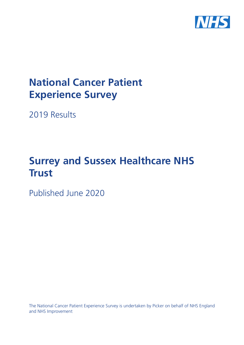

# **National Cancer Patient Experience Survey**

2019 Results

# **Surrey and Sussex Healthcare NHS Trust**

Published June 2020

The National Cancer Patient Experience Survey is undertaken by Picker on behalf of NHS England and NHS Improvement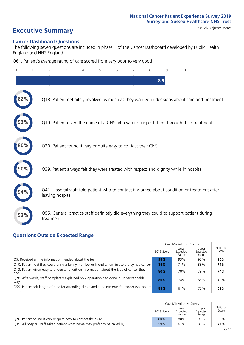**Executive Summary** Case Mix Adjusted scores

#### **Cancer Dashboard Questions**

The following seven questions are included in phase 1 of the Cancer Dashboard developed by Public Health England and NHS England:

Q61. Patient's average rating of care scored from very poor to very good

| $\circ$ | $\overline{2}$                                                | 3 | 4 | 5 | 6 | 7 | 8 | 9   | 10                                                                                            |  |
|---------|---------------------------------------------------------------|---|---|---|---|---|---|-----|-----------------------------------------------------------------------------------------------|--|
|         |                                                               |   |   |   |   |   |   | 8.9 |                                                                                               |  |
|         |                                                               |   |   |   |   |   |   |     | Q18. Patient definitely involved as much as they wanted in decisions about care and treatment |  |
|         |                                                               |   |   |   |   |   |   |     | Q19. Patient given the name of a CNS who would support them through their treatment           |  |
| $80\%$  | Q20. Patient found it very or quite easy to contact their CNS |   |   |   |   |   |   |     |                                                                                               |  |
|         |                                                               |   |   |   |   |   |   |     | Q39. Patient always felt they were treated with respect and dignity while in hospital         |  |
|         | leaving hospital                                              |   |   |   |   |   |   |     | Q41. Hospital staff told patient who to contact if worried about condition or treatment after |  |
| 53%     | treatment                                                     |   |   |   |   |   |   |     | Q55. General practice staff definitely did everything they could to support patient during    |  |

#### **Questions Outside Expected Range**

|                                                                                                       |            | Case Mix Adjusted Scores   |                            |                   |
|-------------------------------------------------------------------------------------------------------|------------|----------------------------|----------------------------|-------------------|
|                                                                                                       | 2019 Score | Lower<br>Expected<br>Range | Upper<br>Expected<br>Range | National<br>Score |
| Q5. Received all the information needed about the test                                                | 98%        | 93%                        | 97%                        | 95%               |
| Q10. Patient told they could bring a family member or friend when first told they had cancer          | 84%        | 71%                        | 83%                        | 77%               |
| Q13. Patient given easy to understand written information about the type of cancer they<br>had        | 80%        | 70%                        | 79%                        | 74%               |
| Q28. Afterwards, staff completely explained how operation had gone in understandable<br>way           | 86%        | 74%                        | 85%                        | 79%               |
| Q59. Patient felt length of time for attending clinics and appointments for cancer was about<br>right | 81%        | 61%                        | 77%                        | 69%               |

|                                                                             | Case Mix Adjusted Scores |                            |                                                                             |  |
|-----------------------------------------------------------------------------|--------------------------|----------------------------|-----------------------------------------------------------------------------|--|
|                                                                             | 2019 Score               | Lower<br>Expected<br>Range | National<br>Upper<br>Score<br>Expected<br>Range<br>85%<br>90%<br>71%<br>81% |  |
| Q20. Patient found it very or quite easy to contact their CNS               | 80%                      | 80%                        |                                                                             |  |
| Q35. All hospital staff asked patient what name they prefer to be called by | 59%                      | 61%                        |                                                                             |  |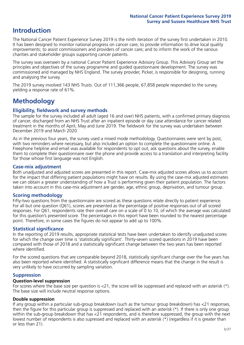# **Introduction**

The National Cancer Patient Experience Survey 2019 is the ninth iteration of the survey first undertaken in 2010. It has been designed to monitor national progress on cancer care; to provide information to drive local quality improvements; to assist commissioners and providers of cancer care; and to inform the work of the various charities and stakeholder groups supporting cancer patients.

The survey was overseen by a national Cancer Patient Experience Advisory Group. This Advisory Group set the principles and objectives of the survey programme and guided questionnaire development. The survey was commissioned and managed by NHS England. The survey provider, Picker, is responsible for designing, running and analysing the survey.

The 2019 survey involved 143 NHS Trusts. Out of 111,366 people, 67,858 people responded to the survey, yielding a response rate of 61%.

# **Methodology**

#### **Eligibility, fieldwork and survey methods**

The sample for the survey included all adult (aged 16 and over) NHS patients, with a confirmed primary diagnosis of cancer, discharged from an NHS Trust after an inpatient episode or day case attendance for cancer related treatment in the months of April, May and June 2019. The fieldwork for the survey was undertaken between December 2019 and March 2020.

As in the previous four years, the survey used a mixed mode methodology. Questionnaires were sent by post, with two reminders where necessary, but also included an option to complete the questionnaire online. A Freephone helpline and email was available for respondents to opt out, ask questions about the survey, enable them to complete their questionnaire over the phone and provide access to a translation and interpreting facility for those whose first language was not English.

#### **Case-mix adjustment**

Both unadjusted and adjusted scores are presented in this report. Case-mix adjusted scores allows us to account for the impact that differing patient populations might have on results. By using the case-mix adjusted estimates we can obtain a greater understanding of how a Trust is performing given their patient population. The factors taken into account in this case-mix adjustment are gender, age, ethnic group, deprivation, and tumour group.

#### **Scoring methodology**

Fifty-two questions from the questionnaire are scored as these questions relate directly to patient experience. For all but one question (Q61), scores are presented as the percentage of positive responses out of all scored responses. For Q61, respondents rate their overall care on a scale of 0 to 10, of which the average was calculated for this question's presented score. The percentages in this report have been rounded to the nearest percentage point. Therefore, in some cases the figures do not appear to add up to 100%.

#### **Statistical significance**

In the reporting of 2019 results, appropriate statistical tests have been undertaken to identify unadjusted scores for which the change over time is 'statistically significant'. Thirty-seven scored questions in 2019 have been compared with those of 2018 and a statistically significant change between the two years has been reported where identified.

For the scored questions that are comparable beyond 2018, statistically significant change over the five years has also been reported where identified. A statistically significant difference means that the change in the result is very unlikely to have occurred by sampling variation.

#### **Suppression**

#### **Question-level suppression**

For scores where the base size per question is  $<$ 21, the score will be suppressed and replaced with an asterisk (\*). The base size will include neutral response options.

#### **Double suppression**

If any group within a particular sub-group breakdown (such as the tumour group breakdown) has <21 responses, then the figure for this particular group is suppressed and replaced with an asterisk (\*). If there is only one group within the sub-group breakdown that has <21 respondents, and is therefore suppressed, the group with the next lowest number of respondents is also supressed and replaced with an asterisk (\*) (regardless if it is greater than or less than 21).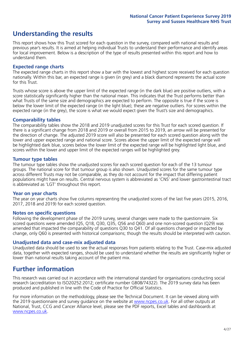# **Understanding the results**

This report shows how this Trust scored for each question in the survey, compared with national results and previous year's results. It is aimed at helping individual Trusts to understand their performance and identify areas for local improvement. Below is a description of the type of results presented within this report and how to understand them.

#### **Expected range charts**

The expected range charts in this report show a bar with the lowest and highest score received for each question nationally. Within this bar, an expected range is given (in grey) and a black diamond represents the actual score for this Trust.

Trusts whose score is above the upper limit of the expected range (in the dark blue) are positive outliers, with a score statistically significantly higher than the national mean. This indicates that the Trust performs better than what Trusts of the same size and demographics are expected to perform. The opposite is true if the score is below the lower limit of the expected range (in the light blue); these are negative outliers. For scores within the expected range (in the grey), the score is what we would expect given the Trust's size and demographics.

#### **Comparability tables**

The comparability tables show the 2018 and 2019 unadjusted scores for this Trust for each scored question. If there is a significant change from 2018 and 2019 or overall from 2015 to 2019, an arrow will be presented for the direction of change. The adjusted 2019 score will also be presented for each scored question along with the lower and upper expected range and national score. Scores above the upper limit of the expected range will be highlighted dark blue, scores below the lower limit of the expected range will be highlighted light blue, and scores within the lower and upper limit of the expected ranges will be highlighted grey.

#### **Tumour type tables**

The tumour type tables show the unadjusted scores for each scored question for each of the 13 tumour groups. The national score for that tumour group is also shown. Unadjusted scores for the same tumour type across different Trusts may not be comparable, as they do not account for the impact that differing patient populations might have on results. Central nervous system is abbreviated as 'CNS' and lower gastrointestinal tract is abbreviated as 'LGT' throughout this report.

#### **Year on year charts**

The year on year charts show five columns representing the unadjusted scores of the last five years (2015, 2016, 2017, 2018 and 2019) for each scored question.

#### **Notes on specific questions**

Following the development phase of the 2019 survey, several changes were made to the questionnaire. Six scored questions were amended (Q5, Q18, Q30, Q35, Q56 and Q60) and one non-scored question (Q29) was amended that impacted the comparability of questions Q30 to Q41. Of all questions changed or impacted by change, only Q60 is presented with historical comparisons; though the results should be interpreted with caution.

#### **Unadjusted data and case-mix adjusted data**

Unadjusted data should be used to see the actual responses from patients relating to the Trust. Case-mix adjusted data, together with expected ranges, should be used to understand whether the results are significantly higher or lower than national results taking account of the patient mix.

### **Further information**

This research was carried out in accordance with the international standard for organisations conducting social research (accreditation to ISO20252:2012; certificate number GB08/74322). The 2019 survey data has been produced and published in line with the Code of Practice for Official Statistics.

For more information on the methodology, please see the Technical Document. It can be viewed along with the 2019 questionnaire and survey quidance on the website at [www.ncpes.co.uk](https://www.ncpes.co.uk/supporting-documents). For all other outputs at National, Trust, CCG and Cancer Alliance level, please see the PDF reports, Excel tables and dashboards at [www.ncpes.co.uk.](https://www.ncpes.co.uk/current-results)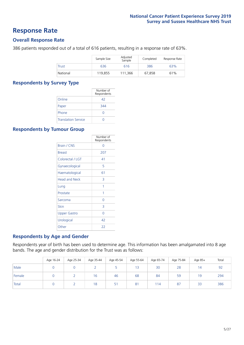### **Response Rate**

#### **Overall Response Rate**

386 patients responded out of a total of 616 patients, resulting in a response rate of 63%.

|          | Sample Size | Adjusted<br>Sample | Completed | Response Rate |
|----------|-------------|--------------------|-----------|---------------|
| Trust    | 636         | 616                | 386       | 63%           |
| National | 119,855     | 111.366            | 67.858    | 61%           |

#### **Respondents by Survey Type**

|                            | Number of<br>Respondents |
|----------------------------|--------------------------|
| Online                     | 42                       |
| Paper                      | 344                      |
| Phone                      | $\left( \right)$         |
| <b>Translation Service</b> |                          |

#### **Respondents by Tumour Group**

|                      | Number of<br>Respondents |
|----------------------|--------------------------|
| <b>Brain / CNS</b>   | ∩                        |
| <b>Breast</b>        | 207                      |
| Colorectal / LGT     | 41                       |
| Gynaecological       | 5                        |
| Haematological       | 61                       |
| <b>Head and Neck</b> | 3                        |
| Lung                 | 1                        |
| Prostate             | 1                        |
| Sarcoma              | Ω                        |
| Skin                 | 3                        |
| <b>Upper Gastro</b>  | U                        |
| Urological           | 42                       |
| Other                | 22                       |

#### **Respondents by Age and Gender**

Respondents year of birth has been used to determine age. This information has been amalgamated into 8 age bands. The age and gender distribution for the Trust was as follows:

|        | Age 16-24 | Age 25-34 | Age 35-44 | Age 45-54 | Age 55-64 | Age 65-74 | Age 75-84 | Age 85+        | Total |
|--------|-----------|-----------|-----------|-----------|-----------|-----------|-----------|----------------|-------|
| Male   |           |           |           |           | 13        | 30        | 28        | $\overline{4}$ | 92    |
| Female |           |           | Iб        | 46        | 68        | 84        | 59        | 19             | 294   |
| Total  |           |           | 18        | 51        | 81        | 114       | 87        | 33             | 386   |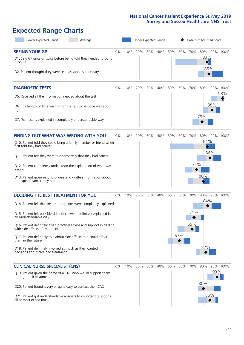# **Expected Range Charts**

| Lower Expected Range<br>Average                                                                                                                                                                                                                                                                                                                                                                                                                                                                                             |    |     | Upper Expected Range |     |     |     |            |                   | Case Mix Adjusted Score       |                 |
|-----------------------------------------------------------------------------------------------------------------------------------------------------------------------------------------------------------------------------------------------------------------------------------------------------------------------------------------------------------------------------------------------------------------------------------------------------------------------------------------------------------------------------|----|-----|----------------------|-----|-----|-----|------------|-------------------|-------------------------------|-----------------|
| <b>SEEING YOUR GP</b><br>Q1. Saw GP once or twice before being told they needed to go to<br>hospital<br>Q2. Patient thought they were seen as soon as necessary                                                                                                                                                                                                                                                                                                                                                             | 0% | 10% | 20%                  | 30% | 40% | 50% | 60%        | 70%               | 80%<br>83%<br>85%             | 90% 100%        |
| <b>DIAGNOSTIC TESTS</b><br>Q5. Received all the information needed about the test<br>Q6. The length of time waiting for the test to be done was about<br>right<br>Q7. Test results explained in completely understandable way                                                                                                                                                                                                                                                                                               | 0% | 10% | 20%                  | 30% | 40% | 50% | 60%        | 70%               | 80%<br>88%<br>79%             | 90% 100%<br>98% |
| <b>FINDING OUT WHAT WAS WRONG WITH YOU</b><br>Q10. Patient told they could bring a family member or friend when<br>first told they had cancer<br>Q11. Patient felt they were told sensitively that they had cancer<br>Q12. Patient completely understood the explanation of what was<br>wrong<br>Q13. Patient given easy to understand written information about<br>the type of cancer they had                                                                                                                             | 0% | 10% | 20%                  | 30% | 40% | 50% | 60%        | 70%<br>74%        | 80%<br>84%<br>♦<br>86%<br>80% | 90% 100%        |
| <b>DECIDING THE BEST TREATMENT FOR YOU</b><br>Q14. Patient felt that treatment options were completely explained<br>Q15. Patient felt possible side effects were definitely explained in<br>an understandable way<br>Q16. Patient definitely given practical advice and support in dealing<br>with side effects of treatment<br>Q17. Patient definitely told about side effects that could affect<br>them in the future<br>Q18. Patient definitely involved as much as they wanted in<br>decisions about care and treatment | 0% | 10% | 20%                  | 30% | 40% | 50% | 60%<br>57% | 70%<br>71%<br>69% | 80%<br>84%<br>82%             | 90% 100%        |
| <b>CLINICAL NURSE SPECIALIST (CNS)</b><br>Q19. Patient given the name of a CNS who would support them<br>through their treatment<br>Q20. Patient found it very or quite easy to contact their CNS<br>Q21. Patient got understandable answers to important questions<br>all or most of the time                                                                                                                                                                                                                              | 0% | 10% | 20%                  | 30% | 40% | 50% | 60%        | 70%               | 80%<br>93%<br>80%<br>86%      | 90% 100%        |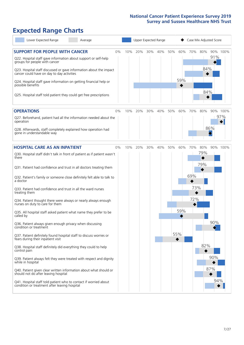# **Expected Range Charts**

| Lower Expected Range<br>Average                                                                                                                                                                                       |     |     | Upper Expected Range |     |     |     | Case Mix Adjusted Score |            |            |          |
|-----------------------------------------------------------------------------------------------------------------------------------------------------------------------------------------------------------------------|-----|-----|----------------------|-----|-----|-----|-------------------------|------------|------------|----------|
| <b>SUPPORT FOR PEOPLE WITH CANCER</b><br>0%<br>Q22. Hospital staff gave information about support or self-help<br>groups for people with cancer<br>Q23. Hospital staff discussed or gave information about the impact | 10% | 20% | 30%                  | 40% | 50% | 60% | 70%                     | 80%<br>84% | 91%        | 90% 100% |
| cancer could have on day to day activities<br>Q24. Hospital staff gave information on getting financial help or<br>possible benefits<br>Q25. Hospital staff told patient they could get free prescriptions            |     |     |                      |     |     | 59% |                         | 84%        |            |          |
| <b>OPERATIONS</b><br>0%                                                                                                                                                                                               | 10% | 20% | 30%                  | 40% | 50% | 60% | 70%                     | 80%        |            | 90% 100% |
| Q27. Beforehand, patient had all the information needed about the<br>operation<br>Q28. Afterwards, staff completely explained how operation had<br>gone in understandable way                                         |     |     |                      |     |     |     |                         |            | 86%        | 97%      |
| <b>HOSPITAL CARE AS AN INPATIENT</b><br>0%                                                                                                                                                                            | 10% | 20% | 30%                  | 40% | 50% | 60% | 70%                     | 80%        |            | 90% 100% |
| Q30. Hospital staff didn't talk in front of patient as if patient wasn't<br>there<br>Q31. Patient had confidence and trust in all doctors treating them                                                               |     |     |                      |     |     |     |                         | 79%<br>79% |            |          |
| Q32. Patient's family or someone close definitely felt able to talk to<br>a doctor                                                                                                                                    |     |     |                      |     |     |     | 69%                     |            |            |          |
| Q33. Patient had confidence and trust in all the ward nurses<br>treating them<br>Q34. Patient thought there were always or nearly always enough                                                                       |     |     |                      |     |     |     | 73%<br>72%              |            |            |          |
| nurses on duty to care for them<br>Q35. All hospital staff asked patient what name they prefer to be<br>called by                                                                                                     |     |     |                      |     |     | 59% |                         |            |            |          |
| Q36. Patient always given enough privacy when discussing<br>condition or treatment<br>Q37. Patient definitely found hospital staff to discuss worries or                                                              |     |     |                      |     |     | 55% |                         |            | 90%        |          |
| fears during their inpatient visit<br>Q38. Hospital staff definitely did everything they could to help<br>control pain                                                                                                |     |     |                      |     |     |     |                         | 82%        |            |          |
| Q39. Patient always felt they were treated with respect and dignity<br>while in hospital<br>Q40. Patient given clear written information about what should or                                                         |     |     |                      |     |     |     |                         |            | 90%<br>87% |          |
| should not do after leaving hospital<br>Q41. Hospital staff told patient who to contact if worried about<br>condition or treatment after leaving hospital                                                             |     |     |                      |     |     |     |                         |            | 94%        |          |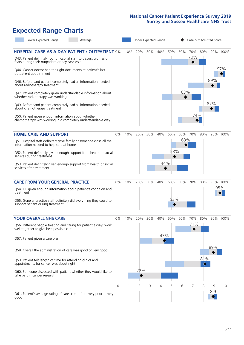# **Expected Range Charts**

| Lower Expected Range                                                                                                                                                                                                                                                                                                                                                                                                                                        | Average |       |     | Upper Expected Range |     |            |            |     | Case Mix Adjusted Score |                 |            |                 |
|-------------------------------------------------------------------------------------------------------------------------------------------------------------------------------------------------------------------------------------------------------------------------------------------------------------------------------------------------------------------------------------------------------------------------------------------------------------|---------|-------|-----|----------------------|-----|------------|------------|-----|-------------------------|-----------------|------------|-----------------|
| <b>HOSPITAL CARE AS A DAY PATIENT / OUTPATIENT 0%</b><br>Q43. Patient definitely found hospital staff to discuss worries or<br>fears during their outpatient or day case visit<br>Q44. Cancer doctor had the right documents at patient's last<br>outpatient appointment                                                                                                                                                                                    |         |       | 10% | 20%                  | 30% | 40%        | 50%        | 60% | 70%<br>70%              | 80%             |            | 90% 100%<br>97% |
| Q46. Beforehand patient completely had all information needed<br>about radiotherapy treatment<br>Q47. Patient completely given understandable information about<br>whether radiotherapy was working<br>Q49. Beforehand patient completely had all information needed<br>about chemotherapy treatment<br>Q50. Patient given enough information about whether<br>chemotherapy was working in a completely understandable way                                  |         |       |     |                      |     |            |            | 63% | 74%                     |                 | 89%<br>87% |                 |
| <b>HOME CARE AND SUPPORT</b><br>Q51. Hospital staff definitely gave family or someone close all the<br>information needed to help care at home<br>Q52. Patient definitely given enough support from health or social<br>services during treatment<br>Q53. Patient definitely given enough support from health or social<br>services after treatment                                                                                                         |         | 0%    | 10% | 20%                  | 30% | 40%<br>44% | 50%<br>53% | 63% | 60% 70%                 | 80%             |            | 90% 100%        |
| <b>CARE FROM YOUR GENERAL PRACTICE</b><br>Q54. GP given enough information about patient's condition and<br>treatment<br>Q55. General practice staff definitely did everything they could to<br>support patient during treatment                                                                                                                                                                                                                            |         | 0%    |     | 10% 20%              | 30% | 40%        | 50%<br>53% | 60% | 70%                     | 80%             |            | 90% 100%<br>95% |
| <b>YOUR OVERALL NHS CARE</b><br>Q56. Different people treating and caring for patient always work<br>well together to give best possible care<br>Q57. Patient given a care plan<br>Q58. Overall the administration of care was good or very good<br>Q59. Patient felt length of time for attending clinics and<br>appointments for cancer was about right<br>Q60. Someone discussed with patient whether they would like to<br>take part in cancer research |         | $0\%$ | 10% | 20%<br>22%           | 30% | 40%<br>43% | 50%        | 60% | 70%<br>71%              | 80%<br>81%<br>♦ | 89%        | 90% 100%        |
| Q61. Patient's average rating of care scored from very poor to very<br>good                                                                                                                                                                                                                                                                                                                                                                                 |         | Ω     |     | $\overline{2}$       | 3   | 4          | 5          | 6   |                         | 8               | 9<br>8.9   | 10              |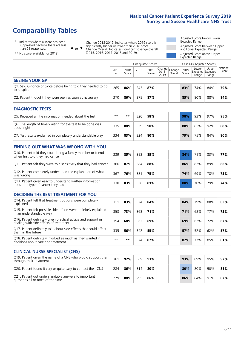# **Comparability Tables**

\* Indicates where a score has been suppressed because there are less than 21 responses.

\*\* No score available for 2018.

 $\triangle$  or  $\nabla$ 

Change 2018-2019: Indicates where 2019 score is significantly higher or lower than 2018 score Change Overall: Indicates significant change overall (2015, 2016, 2017, 2018 and 2019).

Adjusted Score below Lower Expected Range Adjusted Score between Upper and Lower Expected Ranges Adjusted Score above Upper Expected Range

|                                                                             | Case Mix Adjusted Scores<br>Unadjusted Scores |               |           |               |                                                   |         |               |                |                                     |                   |
|-----------------------------------------------------------------------------|-----------------------------------------------|---------------|-----------|---------------|---------------------------------------------------|---------|---------------|----------------|-------------------------------------|-------------------|
|                                                                             | 2018<br>n                                     | 2018<br>Score | 2019<br>n | 2019<br>Score | $\sim$  Change   Change   $\sim$<br>2018-<br>2019 | Overall | 2019<br>Score | Lower<br>Range | Upper<br>Expected Expected<br>Range | National<br>Score |
| <b>SEEING YOUR GP</b>                                                       |                                               |               |           |               |                                                   |         |               |                |                                     |                   |
| Q1. Saw GP once or twice before being told they needed to go<br>to hospital | 265                                           | 86%           | 243       | 87%           |                                                   |         | 83%           | 74%            | 84%                                 | 79%               |
| Q2. Patient thought they were seen as soon as necessary                     | 370                                           | 86%           | 375       | 87%           |                                                   |         | 85%           | 80%            | 88%                                 | 84%               |

| <b>DIAGNOSTIC TESTS</b>                                                   |      |     |     |     |  |     |     |     |     |
|---------------------------------------------------------------------------|------|-----|-----|-----|--|-----|-----|-----|-----|
| O5. Received all the information needed about the test                    | $**$ | **  | 320 | 98% |  | 98% | 93% | 97% | 95% |
| Q6. The length of time waiting for the test to be done was<br>about right | 335  | 88% | 329 | 90% |  | 88% | 85% | 92% | 88% |
| Q7. Test results explained in completely understandable way               | 334  | 83% | 324 | 80% |  | 79% | 75% | 84% | 80% |

| <b>FINDING OUT WHAT WAS WRONG WITH YOU</b>                                                      |     |     |     |     |     |     |     |     |
|-------------------------------------------------------------------------------------------------|-----|-----|-----|-----|-----|-----|-----|-----|
| Q10. Patient told they could bring a family member or friend<br>when first told they had cancer | 339 | 85% | 353 | 85% | 84% | 71% | 83% | 77% |
| Q11. Patient felt they were told sensitively that they had cancer                               | 366 | 87% | 384 | 88% | 86% | 82% | 89% | 86% |
| Q12. Patient completely understood the explanation of what<br>was wrong                         | 367 | 76% | 381 | 75% | 74% | 69% | 78% | 73% |
| Q13. Patient given easy to understand written information<br>about the type of cancer they had  | 330 | 83% | 336 | 81% | 80% | 70% | 79% | 74% |

| <b>DECIDING THE BEST TREATMENT FOR YOU</b>                                                              |      |     |     |     |  |     |     |     |     |
|---------------------------------------------------------------------------------------------------------|------|-----|-----|-----|--|-----|-----|-----|-----|
| Q14. Patient felt that treatment options were completely<br>explained                                   | 311  | 83% | 324 | 84% |  | 84% | 79% | 88% | 83% |
| Q15. Patient felt possible side effects were definitely explained<br>in an understandable way           | 353  | 73% | 363 | 71% |  | 71% | 68% | 77% | 73% |
| Q16. Patient definitely given practical advice and support in<br>dealing with side effects of treatment | 354  | 68% | 362 | 69% |  | 69% | 62% | 72% | 67% |
| Q17. Patient definitely told about side effects that could affect<br>them in the future                 | 335  | 56% | 342 | 55% |  | 57% | 52% | 62% | 57% |
| Q18. Patient definitely involved as much as they wanted in<br>decisions about care and treatment        | $**$ | **  | 374 | 82% |  | 82% | 77% | 85% | 81% |

| <b>CLINICAL NURSE SPECIALIST (CNS)</b>                                                    |     |     |     |     |     |     |     |     |
|-------------------------------------------------------------------------------------------|-----|-----|-----|-----|-----|-----|-----|-----|
| [Q19] Patient given the name of a CNS who would support them<br>through their treatment   | 361 | 92% | 369 | 93% | 93% | 89% | 95% | 92% |
| Q20. Patient found it very or quite easy to contact their CNS                             | 284 | 86% | 314 | 80% | 80% | 80% | 90% | 85% |
| Q21. Patient got understandable answers to important<br>questions all or most of the time | 279 | 88% | 295 | 86% | 86% | 84% | 91% | 87% |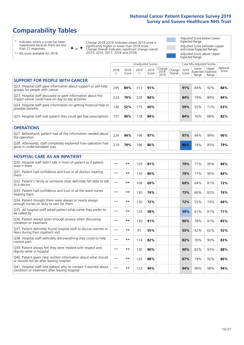# **Comparability Tables**

\* Indicates where a score has been suppressed because there are less than 21 responses.

\*\* No score available for 2018.

 $\triangle$  or  $\nabla$ 

Change 2018-2019: Indicates where 2019 score is significantly higher or lower than 2018 score Change Overall: Indicates significant change overall (2015, 2016, 2017, 2018 and 2019).

Adjusted Score below Lower Expected Range Adjusted Score between Upper and Lower Expected Ranges Adjusted Score above Upper Expected Range

|                                                                                                                   |              |               | Unadjusted Scores |               |                         |                   |               | Case Mix Adjusted Scores            |                |                   |
|-------------------------------------------------------------------------------------------------------------------|--------------|---------------|-------------------|---------------|-------------------------|-------------------|---------------|-------------------------------------|----------------|-------------------|
|                                                                                                                   | 2018<br>n    | 2018<br>Score | 2019<br>n         | 2019<br>Score | Change<br>2018-<br>2019 | Change<br>Overall | 2019<br>Score | Lower<br>Expected Expected<br>Range | Upper<br>Range | National<br>Score |
| <b>SUPPORT FOR PEOPLE WITH CANCER</b>                                                                             |              |               |                   |               |                         |                   |               |                                     |                |                   |
| Q22. Hospital staff gave information about support or self-help<br>groups for people with cancer                  | 295          | 89%           | 313               | 91%           |                         |                   | 91%           | 84%                                 | 92%            | 88%               |
| Q23. Hospital staff discussed or gave information about the<br>impact cancer could have on day to day activities  | 224          | 79%           | 239               | 84%           |                         |                   | 84%           | 79%                                 | 89%            | 84%               |
| Q24. Hospital staff gave information on getting financial help or<br>possible benefits                            | 146          | 52%           | 175               | 60%           |                         |                   | 59%           | 55%                                 | 71%            | 63%               |
| Q25. Hospital staff told patient they could get free prescriptions                                                | 157          | 90%           | 178               | 84%           |                         |                   | 84%           | 76%                                 | 88%            | 82%               |
| <b>OPERATIONS</b>                                                                                                 |              |               |                   |               |                         |                   |               |                                     |                |                   |
| Q27. Beforehand, patient had all the information needed about<br>the operation                                    | 224          | 94%           | 196               | 97%           |                         |                   | 97%           | 94%                                 | 99%            | 96%               |
| Q28. Afterwards, staff completely explained how operation had<br>gone in understandable way                       | 219          | 79%           | 196               | 86%           |                         |                   | 86%           | 74%                                 | 85%            | 79%               |
| <b>HOSPITAL CARE AS AN INPATIENT</b>                                                                              |              |               |                   |               |                         |                   |               |                                     |                |                   |
| Q30. Hospital staff didn't talk in front of patient as if patient<br>wasn't there                                 | $**$         | $***$         | 129               | 81%           |                         |                   | 79%           | 77%                                 | 90%            | 84%               |
| Q31. Patient had confidence and trust in all doctors treating<br>them                                             | $\star\star$ | $***$         | 130               | 80%           |                         |                   | 79%           | 77%                                 | 90%            | 84%               |
| Q32. Patient's family or someone close definitely felt able to talk<br>to a doctor                                | $\star\star$ | $***$         | 108               | 69%           |                         |                   | 69%           | 64%                                 | 81%            | 72%               |
| Q33. Patient had confidence and trust in all the ward nurses<br>treating them                                     | $* *$        | $***$         | 130               | 74%           |                         |                   | 73%           | 66%                                 | 82%            | 74%               |
| Q34. Patient thought there were always or nearly always<br>enough nurses on duty to care for them                 | $**$         | $***$         | 130               | 72%           |                         |                   | 72%           | 55%                                 | 74%            | 64%               |
| Q35. All hospital staff asked patient what name they prefer to<br>be called by                                    | $**$         | $***$         | 125               | 58%           |                         |                   | 59%           | 61%                                 | 81%            | 71%               |
| Q36. Patient always given enough privacy when discussing<br>condition or treatment                                | $\star\star$ | $***$         | 130               | 91%           |                         |                   | 90%           | 78%                                 | 91%            | 85%               |
| Q37. Patient definitely found hospital staff to discuss worries or<br>fears during their inpatient visit          | $* *$        | **            | 91                | 55%           |                         |                   | 55%           | 42%                                 | 62%            | 52%               |
| Q38. Hospital staff definitely did everything they could to help<br>control pain                                  | $* *$        | $***$         | 114               | 82%           |                         |                   | 82%           | 76%                                 | 90%            | 83%               |
| Q39. Patient always felt they were treated with respect and<br>dignity while in hospital                          | $\star\star$ | $***$         | 130               | 90%           |                         |                   | 90%           | 82%                                 | 93%            | 88%               |
| Q40. Patient given clear written information about what should<br>or should not do after leaving hospital         | $**$         | $***$         | 120               | 88%           |                         |                   | 87%           | 79%                                 | 92%            | 86%               |
| Q41. Hospital staff told patient who to contact if worried about<br>condition or treatment after leaving hospital | $**$         | $***$         | 123               | 94%           |                         |                   | 94%           | 90%                                 | 98%            | 94%               |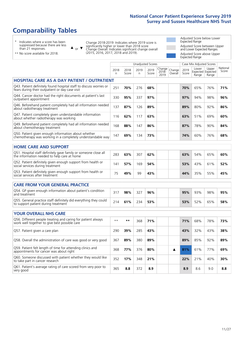# **Comparability Tables**

\* Indicates where a score has been suppressed because there are less than 21 responses.

\*\* No score available for 2018.

 $\triangle$  or  $\nabla$ 

Change 2018-2019: Indicates where 2019 score is significantly higher or lower than 2018 score Change Overall: Indicates significant change overall (2015, 2016, 2017, 2018 and 2019).

Adjusted Score below Lower Expected Range Adjusted Score between Upper and Lower Expected Ranges Adjusted Score above Upper Expected Range

|                                                                                                                       |              |               | <b>Unadjusted Scores</b> |               |                         | Case Mix Adjusted Scores |               |                |                                     |                   |
|-----------------------------------------------------------------------------------------------------------------------|--------------|---------------|--------------------------|---------------|-------------------------|--------------------------|---------------|----------------|-------------------------------------|-------------------|
|                                                                                                                       | 2018<br>n    | 2018<br>Score | 2019<br>n.               | 2019<br>Score | Change<br>2018-<br>2019 | Change<br>Overall        | 2019<br>Score | Lower<br>Range | Upper<br>Expected Expected<br>Range | National<br>Score |
| <b>HOSPITAL CARE AS A DAY PATIENT / OUTPATIENT</b>                                                                    |              |               |                          |               |                         |                          |               |                |                                     |                   |
| Q43. Patient definitely found hospital staff to discuss worries or<br>fears during their outpatient or day case visit | 251          | 70%           | 276                      | 68%           |                         |                          | 70%           | 65%            | 76%                                 | 71%               |
| Q44. Cancer doctor had the right documents at patient's last<br>outpatient appointment                                | 330          | 95%           | 337                      | 97%           |                         |                          | 97%           | 94%            | 98%                                 | 96%               |
| Q46. Beforehand patient completely had all information needed<br>about radiotherapy treatment                         | 137          | 87%           | 126                      | 89%           |                         |                          | 89%           | 80%            | 92%                                 | 86%               |
| Q47. Patient completely given understandable information<br>about whether radiotherapy was working                    | 116          | 62%           | 117                      | 63%           |                         |                          | 63%           | 51%            | 69%                                 | 60%               |
| Q49. Beforehand patient completely had all information needed<br>about chemotherapy treatment                         | 168          | 88%           | 147                      | 86%           |                         |                          | 87%           | 78%            | 90%                                 | 84%               |
| Q50. Patient given enough information about whether<br>chemotherapy was working in a completely understandable way    | 147          | 69%           | 134                      | 73%           |                         |                          | 74%           | 60%            | 76%                                 | 68%               |
| <b>HOME CARE AND SUPPORT</b>                                                                                          |              |               |                          |               |                         |                          |               |                |                                     |                   |
| Q51. Hospital staff definitely gave family or someone close all<br>the information needed to help care at home        | 283          | 63%           | 307                      | 62%           |                         |                          | 63%           | 54%            | 65%                                 | 60%               |
| Q52. Patient definitely given enough support from health or<br>social services during treatment                       | 141          | 57%           | 169                      | 54%           |                         |                          | 53%           | 43%            | 61%                                 | 52%               |
| Q53. Patient definitely given enough support from health or<br>social services after treatment                        | 75           | 49%           | 99                       | 43%           |                         |                          | 44%           | 35%            | 55%                                 | 45%               |
| <b>CARE FROM YOUR GENERAL PRACTICE</b>                                                                                |              |               |                          |               |                         |                          |               |                |                                     |                   |
| Q54. GP given enough information about patient's condition<br>and treatment                                           | 317          | 98%           | 327                      | 96%           |                         |                          | 95%           | 93%            | 98%                                 | 95%               |
| Q55. General practice staff definitely did everything they could<br>to support patient during treatment               | 214          | 61%           | 234                      | 53%           |                         |                          | 53%           | 52%            | 65%                                 | 58%               |
| <b>YOUR OVERALL NHS CARE</b>                                                                                          |              |               |                          |               |                         |                          |               |                |                                     |                   |
| Q56. Different people treating and caring for patient always<br>work well together to give best possible care         | $\star\star$ | **            | 368                      | 71%           |                         |                          | 71%           | 68%            | 78%                                 | 73%               |
| Q57. Patient given a care plan                                                                                        | 290          | 39%           | 285                      | 43%           |                         |                          | 43%           | 32%            | 43%                                 | 38%               |
| Q58. Overall the administration of care was good or very good                                                         | 367          | 89%           | 380                      | 89%           |                         |                          | 89%           | 85%            | 92%                                 | 89%               |
| Q59. Patient felt length of time for attending clinics and<br>appointments for cancer was about right                 | 368          | 77%           | 376                      | 80%           |                         | ▲                        | 81%           | 61%            | 77%                                 | 69%               |
| Q60. Someone discussed with patient whether they would like<br>to take part in cancer research                        | 352          | 17%           | 348                      | 21%           |                         |                          | 22%           | 21%            | 40%                                 | 30%               |
| Q61. Patient's average rating of care scored from very poor to<br>very good                                           | 365          | 8.8           | 372                      | 8.9           |                         |                          | 8.9           | 8.6            | 9.0                                 | 8.8               |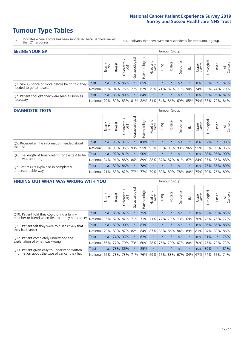# **Tumour Type Tables**

- \* Indicates where a score has been suppressed because there are less than 21 responses.
- n.a. Indicates that there were no respondents for that tumour group.

| <b>SEEING YOUR GP</b>                           |          |              |                 |                        |                     |                |                  |         | Tumour Group |         |                                                     |                 |                 |       |                |
|-------------------------------------------------|----------|--------------|-----------------|------------------------|---------------------|----------------|------------------|---------|--------------|---------|-----------------------------------------------------|-----------------|-----------------|-------|----------------|
|                                                 |          | Brain<br>CNS | <b>Breast</b>   | olorectal.<br>LGT<br>Ü | त्त<br>Gynaecologic | Haematological | Head and<br>Neck | Dung    | Prostate     | Sarcoma | Skin                                                | Upper<br>Gastro | Urological      | Other | All<br>Cancers |
| Q1. Saw GP once or twice before being told they | Trust    |              | n.a. $95\%$ 86% |                        |                     | 65%            | $\star$          | $\star$ | $\star$      | n.a.    |                                                     |                 | n.a. 93%        |       | 87%            |
| needed to go to hospital                        | National | 59%          |                 | 94% 75% 77%            |                     |                |                  |         |              |         | 67%   79%   71%   82%   71%   90%                   |                 | 74% 83% 74% 79% |       |                |
| Q2. Patient thought they were seen as soon as   | Trust    | n.a.         |                 | 88% 80%                | $\star$             | 84%            | $\star$          | $\star$ | $\star$      | n.a.    |                                                     | n.a.            | 89% 95% 87%     |       |                |
| necessary                                       | National | 79%          |                 |                        |                     |                |                  |         |              |         | 89% 83% 81% 82% 81% 84% 86% 69% 85% 79% 85% 79% 84% |                 |                 |       |                |

#### **DIAGNOSTIC TESTS** Tumour Group

|                                                   |              | Brain | <b>Breast</b> | olorectal<br>LGT<br>$\cup$ | ᢛ<br>Gynaecologic | Haematological              | Head and<br>Neck | Lung    | Prostate | Sarcoma | Skin | Upper<br>Gastro | Jrological                                                      | Other | All<br>Cancers |
|---------------------------------------------------|--------------|-------|---------------|----------------------------|-------------------|-----------------------------|------------------|---------|----------|---------|------|-----------------|-----------------------------------------------------------------|-------|----------------|
| Q5. Received all the information needed about     | <b>Trust</b> | n.a.  | 98% 97%       |                            |                   | 100%                        | $\ast$           | $\star$ | $\star$  | n.a.    |      | n.a.            | 97%                                                             |       | 98%            |
| the test                                          | National     | 93%   | 95%           | 95%                        |                   | 93% 95%                     |                  | 93% 95% | 95%      | 93%     | 96%  |                 | 95% 95% 95%                                                     |       | 95%            |
| Q6. The length of time waiting for the test to be | Trust        | n.a.  | 92%           | 81%                        | $\star$           | 90%                         | $\star$          | $\star$ | $\star$  | n.a.    |      | n.a.            | 88% 95% 90%                                                     |       |                |
| done was about right                              | National     |       | 84% 91% 88%   |                            |                   |                             |                  |         |          |         |      |                 | 86%   89%   88%   87%   87%   81%   87%   84%   87%   86%   88% |       |                |
| Q7. Test results explained in completely          | Trust        | n.a.  |               | 80% 86%                    | $\star$           | 78%                         | $\star$          | $\star$ | $\star$  | n.a.    |      | n.a.            | 77% 86% 80%                                                     |       |                |
| understandable way                                | National 71% |       |               |                            |                   | 83% 82% 77% 77% 79% 80% 80% |                  |         |          |         |      |                 | 78% 84% 75% 80% 76% 80%                                         |       |                |

| <b>FINDING OUT WHAT WAS WRONG WITH YOU</b>        |              |       |               |                          |                |                |                        |             | <b>Tumour Group</b> |         |         |                 |           |             |                |
|---------------------------------------------------|--------------|-------|---------------|--------------------------|----------------|----------------|------------------------|-------------|---------------------|---------|---------|-----------------|-----------|-------------|----------------|
|                                                   |              | Brain | <b>Breast</b> | ╮<br>Colorectal /<br>LGT | Gynaecological | Haematological | ad and<br>Neck<br>Head | Lung        | Prostate            | Sarcoma | Skin    | Upper<br>Gastro | Jrologica | Other       | All<br>Cancers |
| Q10. Patient told they could bring a family       | <b>Trust</b> | n.a.  | 88%           | 92%                      | $\star$        | 75%            | $\star$                | $\star$     | $\star$             | n.a.    | $\star$ | n.a.            |           | 82% 90%     | 85%            |
| member or friend when first told they had cancer  | National     | 85%   | 82%           | 82%                      | 71%            | 71%            | 71%                    | 77%         | 79%                 | 73%     | 69%     | 76%             |           | 73% 75%     | 77%            |
| Q11. Patient felt they were told sensitively that | Trust        | n.a.  | 89%           | 90%                      | $\star$        | 83%            | $\star$                | $\star$     | $\star$             | n.a.    | $\star$ | n.a.            |           | 86% 86% 88% |                |
| they had cancer                                   | National     | 79%   | 89%           | 87%                      | 82%            | 84%            | 87%                    | 83%         | 86%                 | 84%     | 89%     | 81%             |           | 84% 83%     | 86%            |
| Q12. Patient completely understood the            | Trust        | n.a.  |               | 74% 93%                  | $\star$        | 62%            | $\star$                | $\star$     | $\star$             | n.a.    | $\star$ | n.a.            | 81%       | $\star$     | 75%            |
| explanation of what was wrong                     | National     | 66%   | 77%           | 79%                      | 73%            | 60%            | 78%                    | 76%         | 79%                 | 67%     | 80%     | 70%             | 77%       | 70%         | 73%            |
| Q13. Patient given easy to understand written     | Trust        | n.a.  |               | 78% 86%                  | $\star$        | 85%            | $\ast$                 | $\star$     | $\star$             | n.a.    | $\star$ | n.a.            | 89%       | $\ast$      | 81%            |
| information about the type of cancer they had     | National     | 66%   |               | 78% 73%                  | 71%            | 76%            |                        | 69% 67% 83% |                     |         | 67% 84% | 67%             | 74%       | 65%         | 74%            |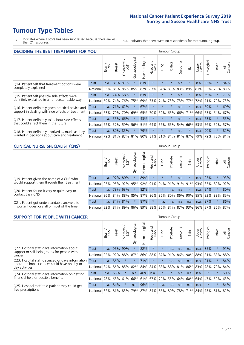# **Tumour Type Tables**

\* Indicates where a score has been suppressed because there are less than 21 responses.

n.a. Indicates that there were no respondents for that tumour group.

| <b>DECIDING THE BEST TREATMENT FOR YOU</b>         | olorectal.<br>LGT<br><b>Breast</b><br>Brain<br>$\cup$ |      |     |     |                |                                         |                         |         |          |         |         |                 |           |         |                |
|----------------------------------------------------|-------------------------------------------------------|------|-----|-----|----------------|-----------------------------------------|-------------------------|---------|----------|---------|---------|-----------------|-----------|---------|----------------|
|                                                    |                                                       |      |     |     | Gynaecological | Haematological                          | ead and<br>Neck<br>Head | Lung    | Prostate | Sarcoma | Skin    | Upper<br>Gastro | Jrologica | Other   | All<br>Cancers |
| Q14. Patient felt that treatment options were      | Trust                                                 | n.a. | 85% | 81% | $\star$        | 83%                                     | $\star$                 | $\star$ | $\star$  | n.a.    | $\ast$  | n.a.            | 85%       | $\star$ | 84%            |
| completely explained                               | National                                              | 85%  | 85% | 85% | 85%            | 82%                                     | 87%                     | 84%     | 83%      | 83%     | 89%     | 81%             | 83%       | 79%     | 83%            |
| Q15. Patient felt possible side effects were       | Trust                                                 | n.a. | 74% | 68% | $\star$        | 63%                                     | $\star$                 | $\star$ | $\star$  | n.a.    | $\star$ | n.a.            | 69%       | $\star$ | 71%            |
| definitely explained in an understandable way      | National                                              | 69%  | 74% | 76% | 75%            | 69%                                     | 73%                     | 74%     | 73%      | 73%     | 77%     | 72%             | 71%       | 70%     | 73%            |
| Q16. Patient definitely given practical advice and | Trust                                                 | n.a. | 71% | 62% | $\star$        | 67%                                     | $\star$                 | $\star$ | $\star$  | n.a.    | $\star$ | n.a.            | 69%       | $\star$ | 69%            |
| support in dealing with side effects of treatment  | National                                              | 63%  | 70% | 70% | 69%            | 65%                                     | 70%                     | 69%     | 65%      | 66%     | 71%     | 66%             | 63%       | 64%     | 67%            |
| Q17. Patient definitely told about side effects    | Trust                                                 | n.a. | 55% | 66% | $\star$        | 43%                                     | $\star$                 | $\star$ | $\star$  | n.a.    | $\star$ | n.a.            | 63%       | $\star$ | 55%            |
| that could affect them in the future               | National                                              | 62%  | 57% | 59% | 56%            | 51%                                     | 64%                     | 56%     | 66%      | 54%     | 66%     | 53%             | 56%       | 52%     | 57%            |
| Q18. Patient definitely involved as much as they   | Trust                                                 | n.a. | 80% | 85% | $\star$        | 79%                                     | $\star$                 | $\star$ | $\star$  | n.a.    | $\star$ | n.a.            | 90%       | $\star$ | 82%            |
| wanted in decisions about care and treatment       | National                                              | 79%  |     |     |                | 81% 83% 81% 80% 81% 81% 84% 81% 87% 79% |                         |         |          |         |         |                 | 79%       | 78% 81% |                |

#### **CLINICAL NURSE SPECIALIST (CNS)** Tumour Group

|                                             |          | Brain | <b>Breast</b>   | olorectal<br>LGT<br>$\cup$ | aecologica<br>Ğ | $\overline{\sigma}$<br>Ü<br>aematologi | Head and<br>Neck | Lung            | Prostate | Sarcoma | Skin | Upper<br>Gastro | $\sigma$<br>rologica | Other                               | All<br>ancers<br>Ü |
|---------------------------------------------|----------|-------|-----------------|----------------------------|-----------------|----------------------------------------|------------------|-----------------|----------|---------|------|-----------------|----------------------|-------------------------------------|--------------------|
| Q19. Patient given the name of a CNS who    | Trust    | n.a.  | 97% 80%         |                            |                 | 89%                                    | $\star$          | $\star$         | $\star$  | n.a.    |      | n.a.            | 95%                  | $\ast$                              | 93%                |
| would support them through their treatment  | National |       | 95% 95% 92% 95% |                            |                 | 92%                                    | 91%              | 94% 91%         |          |         |      | 91% 91% 93%     |                      | 85% 89%                             | 92%                |
| Q20. Patient found it very or quite easy to | Trust    | n.a.  |                 | 78% 63%                    |                 | 82%                                    | $\star$          | $\star$         | n.a.     | n.a.    |      | n.a.            | 94%                  |                                     | 80%                |
| contact their CNS                           | National |       | 86% 84% 88% 85% |                            |                 |                                        |                  | 87% 86% 86% 80% |          |         |      | 86% 90% 85%     |                      | 83% 83%                             | 85%                |
| Q21. Patient got understandable answers to  | Trust    | n.a.  | 84% 81%         |                            |                 | 87%                                    | $\star$          | n.a.            | n.a.     | n.a.    | n.a. | n.a.            | 97%                  | $\ast$                              | 86%                |
| important questions all or most of the time | National |       | 82% 87% 89% 86% |                            |                 |                                        |                  |                 |          |         |      |                 |                      | 89% 88% 86% 87% 87% 93% 86% 87% 86% | 87%                |

| <b>SUPPORT FOR PEOPLE WITH CANCER</b>                                                             |              |       |               |                             |                |                |                        |         | Tumour Group |         |         |                 |           |         |                |
|---------------------------------------------------------------------------------------------------|--------------|-------|---------------|-----------------------------|----------------|----------------|------------------------|---------|--------------|---------|---------|-----------------|-----------|---------|----------------|
|                                                                                                   |              | Brain | <b>Breast</b> | ╮<br>olorectal.<br>LGT<br>Ū | Gynaecological | Haematological | ad and<br>Neck<br>Head | Lung    | Prostate     | Sarcoma | Skin    | Upper<br>Gastro | Urologica | Other   | All<br>Cancers |
| Q22. Hospital staff gave information about<br>support or self-help groups for people with         | <b>Trust</b> | n.a.  | 95%           | 90%                         | $\star$        | 82%            | $\star$                | $\star$ | n.a.         | n.a.    | n.a.    | n.a.            | 85%       | $\ast$  | 91%            |
| cancer                                                                                            | National     | 92%   | 92%           | 88%                         | 87%            | 86%            | 88%                    | 87%     | 91%          | 86%     | 90%     | 88%             | 81%       | 83%     | 88%            |
| Q23. Hospital staff discussed or gave information<br>about the impact cancer could have on day to | Trust        | n.a.  | 86%           | $\star$                     | $\star$        | 71%            | $\ast$                 | $\star$ | n.a.         | n.a.    | n.a.    | n.a.            | 91%       | $\star$ | 84%            |
| day activities                                                                                    | National     | 84%   | 86% 85%       |                             | 82%            | 84%            | 84%                    | 83%     | 88%          |         | 81% 86% | 83%             | 78%       | 79%     | 84%            |
| Q24. Hospital staff gave information on getting                                                   | Trust        | n.a.  | 68%           | $\star$                     | n.a.           | 46%            | n.a.                   | $\star$ | $\star$      | n.a.    | n.a.    | n.a.            | $\star$   | $\star$ | 60%            |
| financial help or possible benefits                                                               | National     | 78%   | 68%           | 61%                         | 66%            | 61%            | 67%                    | 72%     | 55%          | 64%     | 60%     | 64%             | 47%       | 59%     | 63%            |
| Q25. Hospital staff told patient they could get                                                   | Trust        | n.a.  | 84%           |                             | n.a.           | 96%            | $\ast$                 | n.a.    | n.a.         | n.a.    | n.a.    | n.a.            | $\star$   | $\ast$  | 84%            |
| free prescriptions                                                                                | National I   | 82%   | 81%           | 83%                         | 79%            |                | 87% 84% 86% 80%        |         |              | 78%     | 71%     | 84%             | 73%       | 81%     | 82%            |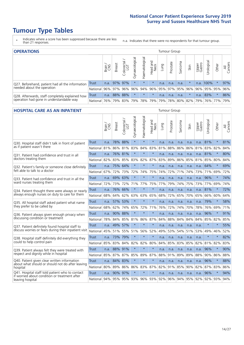# **Tumour Type Tables**

- \* Indicates where a score has been suppressed because there are less than 21 responses.
- n.a. Indicates that there were no respondents for that tumour group.

| <b>OPERATIONS</b>                                |              |       |               |                   |                |                |                  |             | Tumour Group |         |                     |                 |                                         |         |                |
|--------------------------------------------------|--------------|-------|---------------|-------------------|----------------|----------------|------------------|-------------|--------------|---------|---------------------|-----------------|-----------------------------------------|---------|----------------|
|                                                  |              | Brain | <b>Breast</b> | Colorectal<br>LGT | Gynaecological | Haematological | Head and<br>Neck | <b>Lung</b> | Prostate     | Sarcoma | Skin                | Upper<br>Gastro | Urological                              | Other   | All<br>Cancers |
| Q27. Beforehand, patient had all the information | <b>Trust</b> | n.a.  | 97% 97%       |                   | $\star$        | $\star$        | $\star$          | n.a.        | n.a.         | n.a.    |                     | n.a.            | 100%                                    |         | 97%            |
| needed about the operation                       | National     | 96%   | 97%           | 96%               |                | 96% 94%        |                  |             |              |         | 96% 95% 97% 95% 96% |                 | 96% 95% 95%                             |         | 96%            |
| Q28. Afterwards, staff completely explained how  | <b>Trust</b> | n.a.  |               | 88% 88%           | $\star$        | $\star$        | $\star$          | n.a.        | n.a.         | n.a.    |                     | n.a.            | 83%                                     | $\star$ | 86%            |
| operation had gone in understandable way         | National I   | 76%   |               | 79% 83%           |                |                |                  |             |              |         |                     |                 | 79% 78% 79% 79% 78% 80% 82% 79% 76% 77% |         | 79%            |

#### **HOSPITAL CARE AS AN INPATIENT** Tumour Group

|                                                                                                          |              | Brain | Breast       | Colorectal /<br>LGT | Gynaecological | Haematological | Head and<br>Neck | Lung                    | Prostate | Sarcoma | Skin | Upper<br>Gastro | Urological  | Other   | All<br>Cancers |
|----------------------------------------------------------------------------------------------------------|--------------|-------|--------------|---------------------|----------------|----------------|------------------|-------------------------|----------|---------|------|-----------------|-------------|---------|----------------|
| Q30. Hospital staff didn't talk in front of patient                                                      | <b>Trust</b> | n.a.  | 78%          | 88%                 | $\star$        | $\star$        | $\star$          | n.a.                    | n.a.     | n.a.    | n.a. | n.a.            | 81%         | $\star$ | 81%            |
| as if patient wasn't there                                                                               | National     | 81%   | 86%          | 81%                 | 83%            | 84%            | 83%              | 81%                     | 88%      | 86%     | 86%  | 81%             | 83%         | 82%     | 84%            |
| O31. Patient had confidence and trust in all                                                             | Trust        | n.a.  | 76% 81%      |                     | $\star$        | $\star$        | $\star$          | n.a.                    | n.a.     | n.a.    | n.a. | n.a.            | 81%         | $\star$ | 80%            |
| doctors treating them                                                                                    | National     | 82%   | 83%          | 85%                 |                | 83% 82%        | 87%              | 83%                     | 89%      | 86%     | 85%  |                 | 81% 85%     | 80%     | 84%            |
| Q32. Patient's family or someone close definitely                                                        | <b>Trust</b> | n.a.  | 75%          | 64%                 | $\star$        | $\star$        | $\star$          | n.a.                    | n.a.     | n.a.    | n.a. | n.a.            | 64%         | $\star$ | 69%            |
| felt able to talk to a doctor                                                                            | National     | 67%   | 72%          | 73%                 | 72%            | 74%            | 75%              | 74%                     | 72%      | 71%     | 74%  | 73%             | 71%         | 69%     | 72%            |
| Q33. Patient had confidence and trust in all the                                                         | <b>Trust</b> | n.a.  | 69% 63%      |                     | $\star$        | $\star$        | $\star$          | n.a.                    | n.a.     | n.a.    | n.a. | n.a.            | 96%         | $\ast$  | 74%            |
| ward nurses treating them                                                                                | National     | 72%   | 73%          | 72%                 |                | 71% 77%        | 75%              | 77%                     | 79%      | 74%     | 75%  |                 | 73% 77%     | 69%     | 74%            |
| Q34. Patient thought there were always or nearly                                                         | Trust        | n.a.  | 76% 66%      |                     | $\star$        | $\star$        | $\star$          | n.a.                    | n.a.     | n.a.    | n.a. | n.a.            | 81%         | $\star$ | 72%            |
| always enough nurses on duty to care for them                                                            | National     | 68%   | 64%          | 62%                 | 63%            | 63%            | 65%              | 68%                     | 72%      | 65%     | 70%  | 65%             | 66%         | 60%     | 64%            |
| Q35. All hospital staff asked patient what name                                                          | <b>Trust</b> | n.a.  | 57% 53%      |                     | $\star$        | $\star$        | $\star$          | n.a.                    | n.a.     | n.a.    | n.a. | n.a.            | 79%         | $\star$ | 58%            |
| they prefer to be called by                                                                              | National     | 68%   | 62%          | 74%                 | 65%            | 72%            | 71%              | 76%                     | 72%      | 74%     | 70%  | 78%             | 76%         | 69%     | 71%            |
| Q36. Patient always given enough privacy when                                                            | <b>Trust</b> | n.a.  | 90%          | 88%                 |                | $\star$        | $\star$          | n.a.                    | n.a.     | n.a.    | n.a. | n.a.            | 96%         | $\star$ | 91%            |
| discussing condition or treatment                                                                        | National     | 78%   |              | 84% 85%             | 81%            | 86%            | 87%              | 84%                     | 88%      | 84%     | 84%  | 84%             | 85%         | 82%     | 85%            |
| Q37. Patient definitely found hospital staff to<br>discuss worries or fears during their inpatient visit | <b>Trust</b> | n.a.  | 49% 57%      |                     |                | *              | $\star$          | n.a.                    | n.a.     | n.a.    | n.a. | n.a.            | $\star$     | $\star$ | 55%            |
|                                                                                                          | National     | 45%   |              | 51% 55%             |                | 51% 56%        | 52%              | 49%                     | 53%      | 54%     | 51%  | 53%             | 49%         | 46%     | 52%            |
| Q38. Hospital staff definitely did everything they                                                       | <b>Trust</b> |       | n.a. 73% 79% |                     | $\star$        | $\star$        | $\star$          | n.a.                    | n.a.     | n.a.    | n.a. | n.a.            | $\star$     | $\star$ | 82%            |
| could to help control pain                                                                               | National     | 85%   | 83%          | 84%                 | 82%            | 82%            | 80%              | 84%                     | 85%      | 83%     | 85%  | 82%             | 81%         | 82%     | 83%            |
| Q39. Patient always felt they were treated with                                                          | <b>Trust</b> | n.a.  | 88% 91%      |                     | $\star$        | $\star$        | $\star$          | n.a.                    | n.a.     | n.a.    | n.a. | n.a.            | 96%         | $\star$ | 90%            |
| respect and dignity while in hospital                                                                    | National     | 85%   | 87%          | 87%                 | 85%            | 89%            | 87%              | 88%                     | 91%      | 89%     | 89%  | 88%             | 90%         | 86%     | 88%            |
| Q40. Patient given clear written information<br>about what should or should not do after leaving         | Trust        | n.a.  | 84% 83%      |                     | $\star$        | $\star$        | $\star$          | n.a.                    | n.a.     | n.a.    | n.a. | n.a.            | 96%         | $\star$ | 88%            |
| hospital                                                                                                 | National     | 80%   | 89%          | 86%                 | 86%            | 83%            | 87%              | 82%                     | 91%      | 85%     | 90%  | 82%             | 87%         | 83%     | 86%            |
| Q41. Hospital staff told patient who to contact<br>if worried about condition or treatment after         | <b>Trust</b> | n.a.  | 90% 97%      |                     | $\star$        | $\star$        | $\star$          | n.a.                    | n.a.     | n.a.    | n.a. | n.a.            | 96%         | $\star$ | 94%            |
| leaving hospital                                                                                         | National     | 94%   |              |                     |                |                |                  | 95% 95% 93% 96% 93% 92% | 96%      | 94%     |      |                 | 95% 92% 92% | 93%     | 94%            |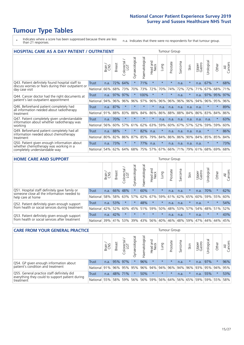# **Tumour Type Tables**

- \* Indicates where a score has been suppressed because there are less than 21 responses.
- n.a. Indicates that there were no respondents for that tumour group.

| <b>HOSPITAL CARE AS A DAY PATIENT / OUTPATIENT</b>                                                                       |          |       |               |                                 |                |                |                         |          | <b>Tumour Group</b> |         |         |                 |            |         |                |  |  |
|--------------------------------------------------------------------------------------------------------------------------|----------|-------|---------------|---------------------------------|----------------|----------------|-------------------------|----------|---------------------|---------|---------|-----------------|------------|---------|----------------|--|--|
|                                                                                                                          |          | Brain | <b>Breast</b> | ╮<br>olorectal<br>LGT<br>$\cup$ | Gynaecological | Haematological | ead and<br>Neck<br>Head | Lung     | Prostate            | Sarcoma | Skin    | Upper<br>Gastro | Urological | Other   | All<br>Cancers |  |  |
| Q43. Patient definitely found hospital staff to<br>discuss worries or fears during their outpatient or<br>day case visit | Trust    | n.a.  | 72%           | 64%                             | $^\star$       | 71%            | $\star$                 | $\star$  | $\star$             | n.a.    | $\star$ | n.a.            | 67%        | $\star$ | 68%            |  |  |
|                                                                                                                          | National | 66%   | 68%           | 73%                             | 70%            | 73%            | 72%                     | 70%      | 74%                 | 72%     | 72%     | 71%             | 67%        | 68%     | 71%            |  |  |
| Q44. Cancer doctor had the right documents at<br>patient's last outpatient appointment                                   | Trust    | n.a.  | 97%           | 97%                             |                | 100%           | $\star$                 | $\star$  | $\star$             | n.a.    | $\star$ | n.a.            | 97%        | 95%     | 97%            |  |  |
|                                                                                                                          | National | 94%   | 96%           | 96%                             | 96%            | 97%            | 96%                     | 96%      | 96%                 | 96%     | 96%     | 94%             | 96%        | 95%     | 96%            |  |  |
| Q46. Beforehand patient completely had<br>all information needed about radiotherapy<br>treatment                         | Trust    | n.a.  | 87%           | $\star$                         | $\star$        | $\star$        | $\star$                 | n.a.     | n.a.                | n.a.    | n.a.    | n.a.            | $\star$    | $\star$ | 89%            |  |  |
|                                                                                                                          | National | 91%   | 88%           | 83%                             | 88%            | 84%            | 86%                     | 86%      | 88%                 | 88%     | 84%     | 86%             | 83%        | 84%     | 86%            |  |  |
| Q47. Patient completely given understandable<br>information about whether radiotherapy was<br>working                    | Trust    | n.a.  | 70%           | $\star$                         |                | $\star$        | $\star$                 | n.a.     | n.a.                | n.a.    | n.a.    | n.a.            | n.a.       | $\ast$  | 63%            |  |  |
|                                                                                                                          | National | 56%   | 60%           | 57%                             | 61%            | 62%            | 63%                     | 59%      | 60%                 | 67%     | 57%     | 52%             | 59%        | 59%     | 60%            |  |  |
| Q49. Beforehand patient completely had all                                                                               | Trust    | n.a.  | 88%           | $\star$                         | $\star$        | 82%            | n.a.                    | $\star$  | n.a.                | n.a.    | n.a.    | n.a.            | $^\star$   | $\ast$  | 86%            |  |  |
| information needed about chemotherapy<br>treatment                                                                       | National | 80%   | 82%           | 86%                             | 87%            | 85%            | 79%                     | 84%      | 86%                 | 86%     | 90%     | 84%             | 85%        | 85%     | 84%            |  |  |
| Q50. Patient given enough information about<br>whether chemotherapy was working in a<br>completely understandable way    | Trust    | n.a.  | 73%           | $\star$                         |                | 77%            | n.a.                    | $^\star$ | n.a.                | n.a.    | n.a.    | n.a.            | $\star$    | $\ast$  | 73%            |  |  |
|                                                                                                                          | National | 54%   | 62%           | 64%                             | 68%            | 75%            |                         | 57% 67%  | 66%                 | 71%     | 79%     | 61%             | 68%        | 69%     | 68%            |  |  |

#### **HOME CARE AND SUPPORT** Tumour Group

|                                                                                                                   |              | Brain | <b>Breast</b> | Colorectal<br>LGT | ᢛ<br>Gynaecologic | Haematological | Head and<br>Neck | <b>Dung</b> | Prostate | Sarcoma | Skin    | Upper<br>Gastro | Urological  | Other   | All<br>Cancers |
|-------------------------------------------------------------------------------------------------------------------|--------------|-------|---------------|-------------------|-------------------|----------------|------------------|-------------|----------|---------|---------|-----------------|-------------|---------|----------------|
| Q51. Hospital staff definitely gave family or<br>someone close all the information needed to<br>help care at home | <b>Trust</b> | n.a.  | 66%           | 48%               |                   | 60%            | $\star$          | $\star$     | n.a.     | n.a.    |         | n.a.            | 70%         | $\star$ | 62%            |
|                                                                                                                   | National     | 58%   | 58%           | 63%               | 57%               |                | 62% 67%          | 59%         | 61%      |         | 62% 65% | 60%             | 59% 55%     |         | 60%            |
| Q52. Patient definitely given enough support<br>from health or social services during treatment                   | Trust        | n.a.  | 53%           |                   | $\star$           | 48%            | $\star$          | $\star$     | n.a.     | n.a.    | $\star$ | n.a.            | $\star$     | $\star$ | 54%            |
|                                                                                                                   | National     | 42%   | 52%           | 60%               |                   | 45% 51%        | 59%              | 50%         | 48%      |         | 53% 57% |                 | 54% 48% 51% |         | 52%            |
| Q53. Patient definitely given enough support<br>from health or social services after treatment                    | Trust        | n.a.  | 42%           |                   | $\star$           |                | $\star$          | $\star$     | n.a.     | n.a.    |         | n.a.            | $\star$     | $\star$ | 43%            |
|                                                                                                                   | National     | 39%   | 41% 53%       |                   | 39%               | 43%            | 56%              | 40%         | 46%      | 48%     | 59%     | 47%             | 44%         | 44%     | 45%            |

| <b>CARE FROM YOUR GENERAL PRACTICE</b>                                                                     |              |       |               |                   |                |                |                  | Tumour Group |                 |         |         |                 |             |         |                |
|------------------------------------------------------------------------------------------------------------|--------------|-------|---------------|-------------------|----------------|----------------|------------------|--------------|-----------------|---------|---------|-----------------|-------------|---------|----------------|
|                                                                                                            |              | Brain | <b>Breast</b> | Colorectal<br>LGT | Gynaecological | Haematological | Head and<br>Neck | Lung         | Prostate        | Sarcoma | Skin    | Upper<br>Gastro | Urologica   | Other   | All<br>Cancers |
| Q54. GP given enough information about<br>patient's condition and treatment                                | Trust        | n.a.  |               | 95% 97%           | $\star$        | 96%            | $\star$          | $\star$      | $\star$         | n.a.    |         | n.a.            | 97%         | $\star$ | 96%            |
|                                                                                                            | National 91% |       |               | 96% 95%           | 95%            |                |                  |              | 96% 94% 94% 96% |         | 94% 96% |                 | 93% 95% 94% |         | 95%            |
| Q55. General practice staff definitely did<br>everything they could to support patient during<br>treatment | <b>Trust</b> | n.a.  |               | 48% 71%           | $\star$        | 50%            | $\star$          | $\star$      | $\star$         | n.a.    | $\star$ | n.a.            | 55%         | $\star$ | 53%            |
|                                                                                                            | National     | 55%   |               | 58% 59%           | 56%            |                | 56% 59%          |              | 56% 64%         |         | 56% 65% | 59%             |             | 59% 55% | 58%            |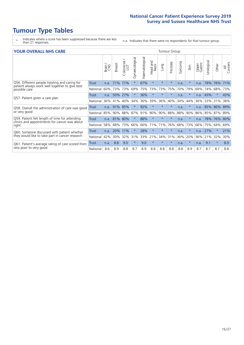# **Tumour Type Tables**

\* Indicates where a score has been suppressed because there are less than 21 responses.

n.a. Indicates that there were no respondents for that tumour group.

|  |  | <b>YOUR OVERALL NHS CARE</b> |  |  |
|--|--|------------------------------|--|--|
|--|--|------------------------------|--|--|

| <b>YOUR OVERALL NHS CARE</b>                                                                                     |              |       |               |                    |                |                |                                 | Tumour Group |          |                      |         |                 |           |          |                |  |
|------------------------------------------------------------------------------------------------------------------|--------------|-------|---------------|--------------------|----------------|----------------|---------------------------------|--------------|----------|----------------------|---------|-----------------|-----------|----------|----------------|--|
|                                                                                                                  |              | Brain | <b>Breast</b> | Colorectal.<br>LGT | Gynaecological | Haematological | <b>Bad and<br/>Neck</b><br>Head | Fung         | Prostate | arcoma<br>$\sqrt{ }$ | Skin    | Upper<br>Gastro | Jrologica | Other    | All<br>Cancers |  |
| Q56. Different people treating and caring for<br>patient always work well together to give best<br>possible care | <b>Trust</b> | n.a.  | 71%           | 71%                | $\star$        | 67%            | $\star$                         | $\star$      | $\star$  | n.a.                 | $\star$ | n.a.            | 78%       | 76%      | 71%            |  |
|                                                                                                                  | National     | 60%   | 73%           | 73%                | 69%            | 75%            | 73%                             | 73%          | 75%      | 70%                  | 79%     | 69%             | 74%       | 68%      | 73%            |  |
| Q57. Patient given a care plan                                                                                   | Trust        | n.a.  | 50%           | 27%                | $\star$        | 36%            | $\star$                         | $^\star$     | $\star$  | n.a.                 | $\star$ | n.a.            | 43%       | $^\star$ | 43%            |  |
|                                                                                                                  | National     | 36%   | 41%           | 40%                | 34%            | 36%            | 39%                             | 36%          | 40%      | 34%                  | 44%     | 36%             | 33% 31%   |          | 38%            |  |
| Q58. Overall the administration of care was good<br>or very good                                                 | Trust        | n.a.  | 91%           | 85%                | $\star$        | 92%            | $\star$                         |              | $\star$  | n.a.                 | $\star$ | n.a.            | 85%       | 86%      | 89%            |  |
|                                                                                                                  | National     | 85%   | 90%           | 88%                | 87%            | 91%            | 90%                             | 90%          | 88%      | 88%                  | 90%     | 86%             | 85%       | 87%      | 89%            |  |
| Q59. Patient felt length of time for attending                                                                   | <b>Trust</b> |       | n.a. 81%      | 80%                |                | 88%            | $\star$                         | $\star$      | $\star$  | n.a.                 | $\star$ | n.a.            | 78%       | 76%      | 80%            |  |
| clinics and appointments for cancer was about<br>right                                                           | National     | 58%   | 68%           | 73%                | 66%            | 66%            | 71%                             | 71%          | 76%      | 68%                  | 73%     | 66%             | 75%       | 64%      | 69%            |  |
| Q60. Someone discussed with patient whether                                                                      | Trust        | n.a.  | 20%           | 11%                | $\star$        | 28%            | $\star$                         | $\star$      | $\star$  | n.a.                 | $\star$ | n.a.            | 27%       | $\star$  | 21%            |  |
| they would like to take part in cancer research                                                                  | National     | 42%   | 30%           | 32%                | 31%            | 33%            | 21%                             | 34%          | 31%      | 36%                  | 20%     | 36%             | 21%       | 32%      | 30%            |  |
| Q61. Patient's average rating of care scored from<br>very poor to very good                                      | Trust        | n.a.  | 8.8           | 9.0                | $\star$        | 9.0            | $\star$                         | $\star$      | $\star$  | n.a.                 | $\star$ | n.a.            | 9.1       | $\star$  | 8.9            |  |
|                                                                                                                  | National     | 8.6   | 8.9           | 8.8                | 8.7            | 8.9            | 8.8                             | 8.8          | 8.8      | 8.8                  | 8.9     | 8.7             | 8.7       | 8.7      | 8.8            |  |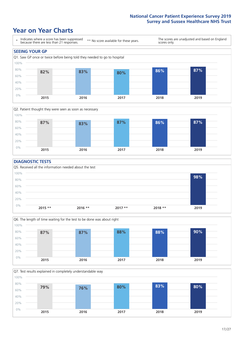### **Year on Year Charts**





#### **DIAGNOSTIC TESTS**





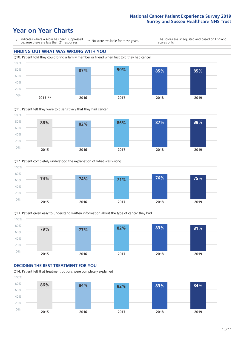







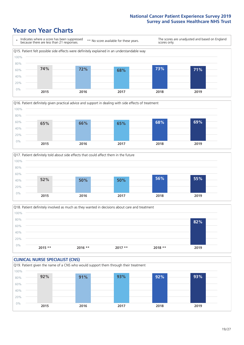





Q18. Patient definitely involved as much as they wanted in decisions about care and treatment  $0%$ 20% 40% 60% 80% 100% **2015 \*\* 2016 \*\* 2017 \*\* 2018 \*\* 2019 82%**

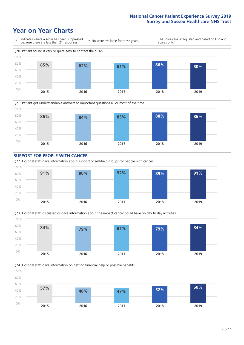







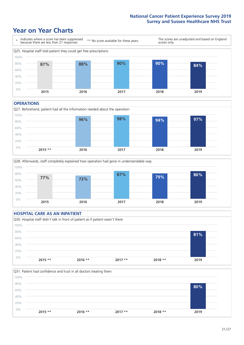### **Year on Year Charts**



#### **OPERATIONS**





#### **HOSPITAL CARE AS AN INPATIENT** Q30. Hospital staff didn't talk in front of patient as if patient wasn't there 0% 20% 40% 60% 80% 100% **2015 \*\* 2016 \*\* 2017 \*\* 2018 \*\* 2019 81%**

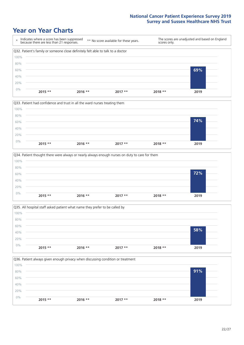







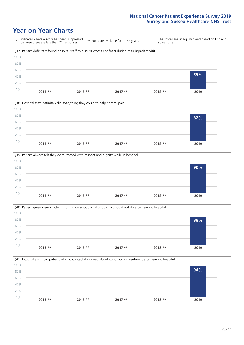







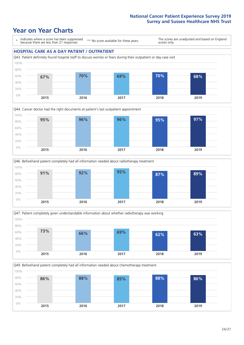### **Year on Year Charts**

\* Indicates where a score has been suppressed because there are less than 21 responses. \*\* No score available for these years. The scores are unadjusted and based on England scores only.

#### **HOSPITAL CARE AS A DAY PATIENT / OUTPATIENT**









Q49. Beforehand patient completely had all information needed about chemotherapy treatment 0% 20% 40% 60% 80% 100% **2015 2016 2017 2018 2019 86% 88% 85% 88% 86%**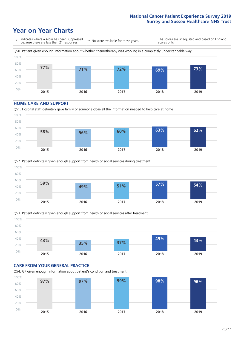### **Year on Year Charts**



#### **HOME CARE AND SUPPORT**







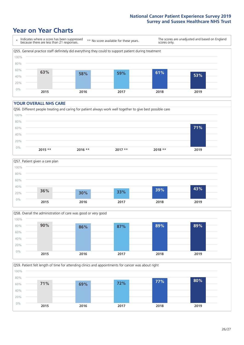### **Year on Year Charts**



#### **YOUR OVERALL NHS CARE**

0%







**2015 2016 2017 2018 2019**

Q59. Patient felt length of time for attending clinics and appointments for cancer was about right 20% 40% 60% 80% 100% **71% 69% 72% 77% 80%**